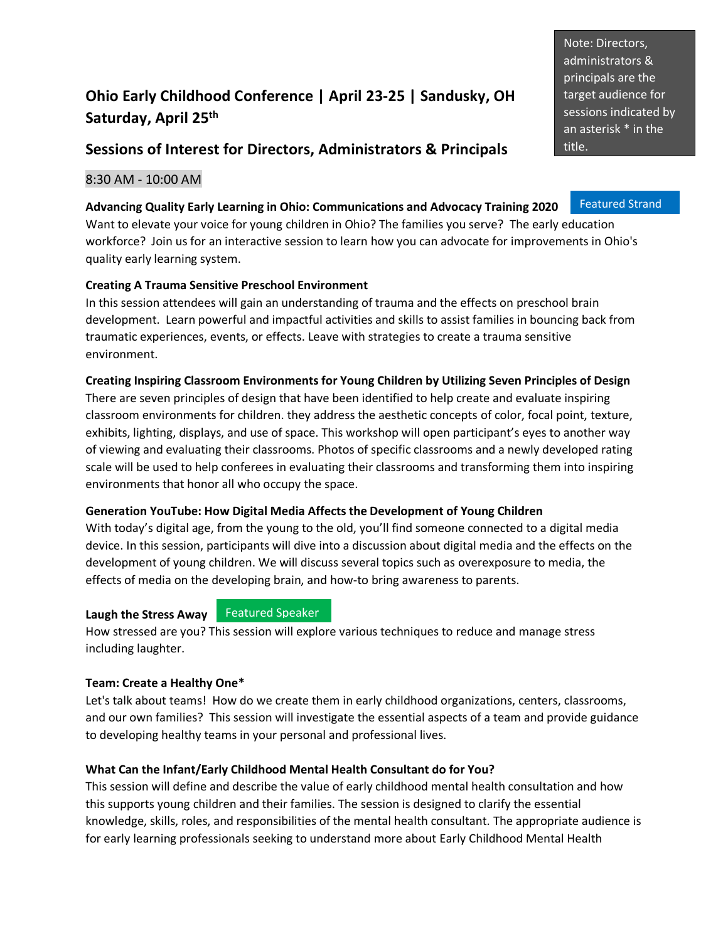# **Ohio Early Childhood Conference | April 23-25 | Sandusky, OH Saturday, April 25 th**

## **Sessions of Interest for Directors, Administrators & Principals**

## 8:30 AM - 10:00 AM

#### **Advancing Quality Early Learning in Ohio: Communications and Advocacy Training 2020**

Want to elevate your voice for young children in Ohio? The families you serve? The early education workforce? Join us for an interactive session to learn how you can advocate for improvements in Ohio's quality early learning system.

### **Creating A Trauma Sensitive Preschool Environment**

In this session attendees will gain an understanding of trauma and the effects on preschool brain development. Learn powerful and impactful activities and skills to assist families in bouncing back from traumatic experiences, events, or effects. Leave with strategies to create a trauma sensitive environment.

#### **Creating Inspiring Classroom Environments for Young Children by Utilizing Seven Principles of Design**

There are seven principles of design that have been identified to help create and evaluate inspiring classroom environments for children. they address the aesthetic concepts of color, focal point, texture, exhibits, lighting, displays, and use of space. This workshop will open participant's eyes to another way of viewing and evaluating their classrooms. Photos of specific classrooms and a newly developed rating scale will be used to help conferees in evaluating their classrooms and transforming them into inspiring environments that honor all who occupy the space.

### **Generation YouTube: How Digital Media Affects the Development of Young Children**

With today's digital age, from the young to the old, you'll find someone connected to a digital media device. In this session, participants will dive into a discussion about digital media and the effects on the development of young children. We will discuss several topics such as overexposure to media, the effects of media on the developing brain, and how-to bring awareness to parents.

#### **Laugh the Stress Away**

Featured Speaker

How stressed are you? This session will explore various techniques to reduce and manage stress including laughter.

#### **Team: Create a Healthy One\***

Let's talk about teams! How do we create them in early childhood organizations, centers, classrooms, and our own families? This session will investigate the essential aspects of a team and provide guidance to developing healthy teams in your personal and professional lives.

#### **What Can the Infant/Early Childhood Mental Health Consultant do for You?**

This session will define and describe the value of early childhood mental health consultation and how this supports young children and their families. The session is designed to clarify the essential knowledge, skills, roles, and responsibilities of the mental health consultant. The appropriate audience is for early learning professionals seeking to understand more about Early Childhood Mental Health

Note: Directors, administrators & principals are the target audience for sessions indicated by an asterisk \* in the title.

Featured Strand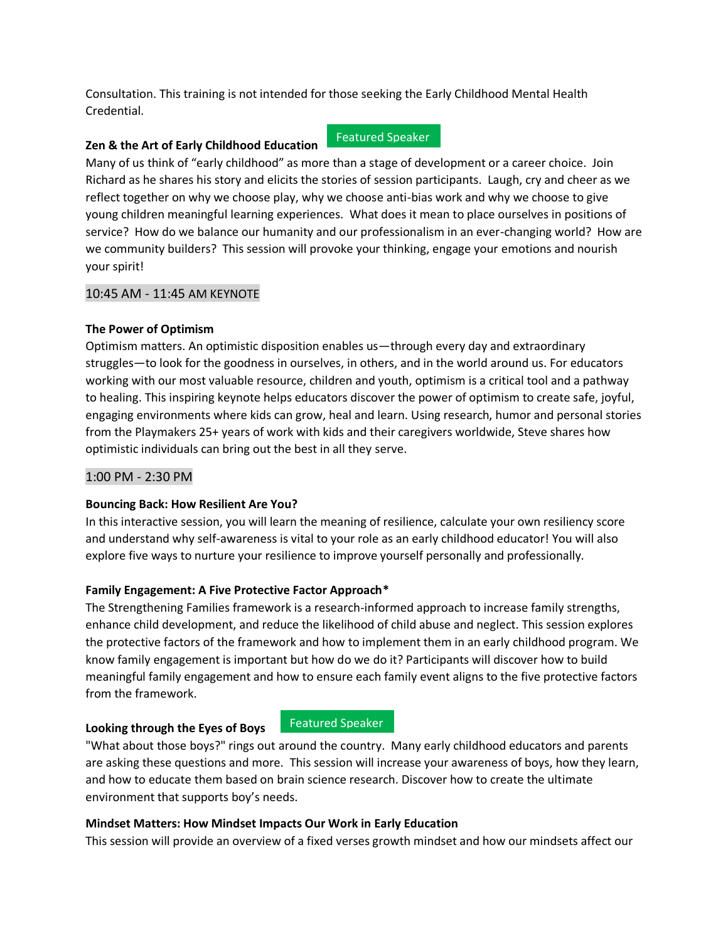Consultation. This training is not intended for those seeking the Early Childhood Mental Health Credential.

#### **Zen & the Art of Early Childhood Education**

#### Featured Speaker

Many of us think of "early childhood" as more than a stage of development or a career choice. Join Richard as he shares his story and elicits the stories of session participants. Laugh, cry and cheer as we reflect together on why we choose play, why we choose anti-bias work and why we choose to give young children meaningful learning experiences. What does it mean to place ourselves in positions of service? How do we balance our humanity and our professionalism in an ever-changing world? How are we community builders? This session will provoke your thinking, engage your emotions and nourish your spirit!

#### 10:45 AM - 11:45 AM KEYNOTE

#### **The Power of Optimism**

Optimism matters. An optimistic disposition enables us—through every day and extraordinary struggles—to look for the goodness in ourselves, in others, and in the world around us. For educators working with our most valuable resource, children and youth, optimism is a critical tool and a pathway to healing. This inspiring keynote helps educators discover the power of optimism to create safe, joyful, engaging environments where kids can grow, heal and learn. Using research, humor and personal stories from the Playmakers 25+ years of work with kids and their caregivers worldwide, Steve shares how optimistic individuals can bring out the best in all they serve.

#### 1:00 PM - 2:30 PM

#### **Bouncing Back: How Resilient Are You?**

In this interactive session, you will learn the meaning of resilience, calculate your own resiliency score and understand why self-awareness is vital to your role as an early childhood educator! You will also explore five ways to nurture your resilience to improve yourself personally and professionally.

### **Family Engagement: A Five Protective Factor Approach\***

The Strengthening Families framework is a research-informed approach to increase family strengths, enhance child development, and reduce the likelihood of child abuse and neglect. This session explores the protective factors of the framework and how to implement them in an early childhood program. We know family engagement is important but how do we do it? Participants will discover how to build meaningful family engagement and how to ensure each family event aligns to the five protective factors from the framework.

#### **Looking through the Eyes of Boys**

### Featured Speaker

"What about those boys?" rings out around the country. Many early childhood educators and parents are asking these questions and more. This session will increase your awareness of boys, how they learn, and how to educate them based on brain science research. Discover how to create the ultimate environment that supports boy's needs.

#### **Mindset Matters: How Mindset Impacts Our Work in Early Education**

This session will provide an overview of a fixed verses growth mindset and how our mindsets affect our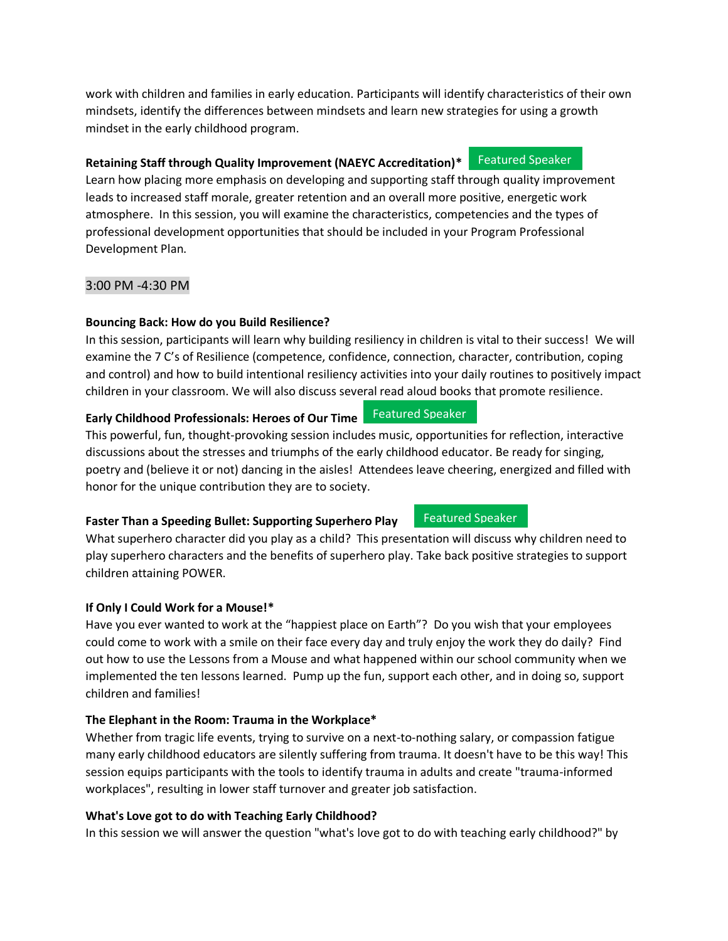work with children and families in early education. Participants will identify characteristics of their own mindsets, identify the differences between mindsets and learn new strategies for using a growth mindset in the early childhood program.

#### **Retaining Staff through Quality Improvement (NAEYC Accreditation)\*** Featured Speaker

Learn how placing more emphasis on developing and supporting staff through quality improvement leads to increased staff morale, greater retention and an overall more positive, energetic work atmosphere. In this session, you will examine the characteristics, competencies and the types of professional development opportunities that should be included in your Program Professional Development Plan.

### 3:00 PM -4:30 PM

## **Bouncing Back: How do you Build Resilience?**

In this session, participants will learn why building resiliency in children is vital to their success! We will examine the 7 C's of Resilience (competence, confidence, connection, character, contribution, coping and control) and how to build intentional resiliency activities into your daily routines to positively impact children in your classroom. We will also discuss several read aloud books that promote resilience.

#### **Early Childhood Professionals: Heroes of Our Time**  Featured Speaker

This powerful, fun, thought-provoking session includes music, opportunities for reflection, interactive discussions about the stresses and triumphs of the early childhood educator. Be ready for singing, poetry and (believe it or not) dancing in the aisles! Attendees leave cheering, energized and filled with honor for the unique contribution they are to society.

## **Faster Than a Speeding Bullet: Supporting Superhero Play**

What superhero character did you play as a child? This presentation will discuss why children need to play superhero characters and the benefits of superhero play. Take back positive strategies to support children attaining POWER.

## **If Only I Could Work for a Mouse!\***

Have you ever wanted to work at the "happiest place on Earth"? Do you wish that your employees could come to work with a smile on their face every day and truly enjoy the work they do daily? Find out how to use the Lessons from a Mouse and what happened within our school community when we implemented the ten lessons learned. Pump up the fun, support each other, and in doing so, support children and families!

### **The Elephant in the Room: Trauma in the Workplace\***

Whether from tragic life events, trying to survive on a next-to-nothing salary, or compassion fatigue many early childhood educators are silently suffering from trauma. It doesn't have to be this way! This session equips participants with the tools to identify trauma in adults and create "trauma-informed workplaces", resulting in lower staff turnover and greater job satisfaction.

## **What's Love got to do with Teaching Early Childhood?**

In this session we will answer the question "what's love got to do with teaching early childhood?" by

Featured Speaker